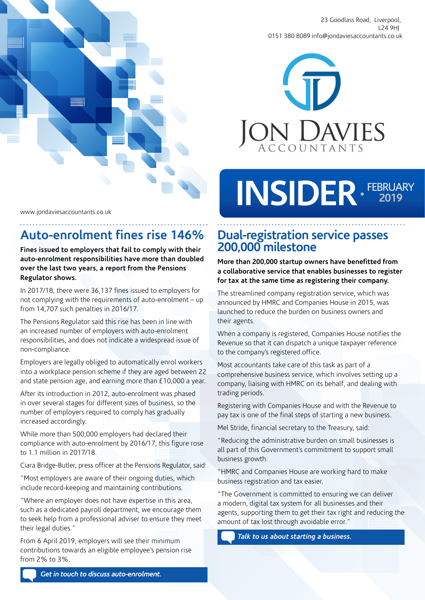

23 Goodlass Road, Liverpool, L24 9HJ 0151 380 8089 info@jondaviesaccountants.co.uk



# **INSIDER** FEBRUARY **2019**

www.jondaviesaccountants.co.uk

## **Auto-enrolment fines rise 146%**

**Fines issued to employers that fail to comply with their auto-enrolment responsibilities have more than doubled over the last two years, a report from the Pensions Regulator shows.**

In 2017/18, there were 36,137 fines issued to employers for not complying with the requirements of auto-enrolment – up from 14,707 such penalties in 2016/17.

The Pensions Regulator said this rise has been in line with an increased number of employers with auto-enrolment responsibilities, and does not indicate a widespread issue of non-compliance.

Employers are legally obliged to automatically enrol workers into a workplace pension scheme if they are aged between 22 and state pension age, and earning more than £10,000 a year.

After its introduction in 2012, auto-enrolment was phased in over several stages for different sizes of business, so the number of employers required to comply has gradually increased accordingly.

While more than 500,000 employers had declared their compliance with auto-enrolment by 2016/17, this figure rose to 1.1 million in 2017/18.

Ciara Bridge-Butler, press officer at the Pensions Regulator, said:

"Most employers are aware of their ongoing duties, which include record-keeping and maintaining contributions.

"Where an employer does not have expertise in this area, such as a dedicated payroll department, we encourage them to seek help from a professional adviser to ensure they meet their legal duties."

From 6 April 2019, employers will see their minimum contributions towards an eligible employee's pension rise from 2% to 3%.

#### **Dual-registration service passes 200,000 milestone**

**More than 200,000 startup owners have benefitted from a collaborative service that enables businesses to register for tax at the same time as registering their company.** 

The streamlined company registration service, which was announced by HMRC and Companies House in 2015, was launched to reduce the burden on business owners and their agents.

When a company is registered, Companies House notifies the Revenue so that it can dispatch a unique taxpayer reference to the company's registered office.

Most accountants take care of this task as part of a comprehensive business service, which involves setting up a company, liaising with HMRC on its behalf, and dealing with trading periods.

Registering with Companies House and with the Revenue to pay tax is one of the final steps of starting a new business.

Mel Stride, financial secretary to the Treasury, said:

"Reducing the administrative burden on small businesses is all part of this Government's commitment to support small business growth.

"HMRC and Companies House are working hard to make business registration and tax easier.

"The Government is committed to ensuring we can deliver a modern, digital tax system for all businesses and their agents, supporting them to get their tax right and reducing the amount of tax lost through avoidable error."

*Talk to us about starting a business.*